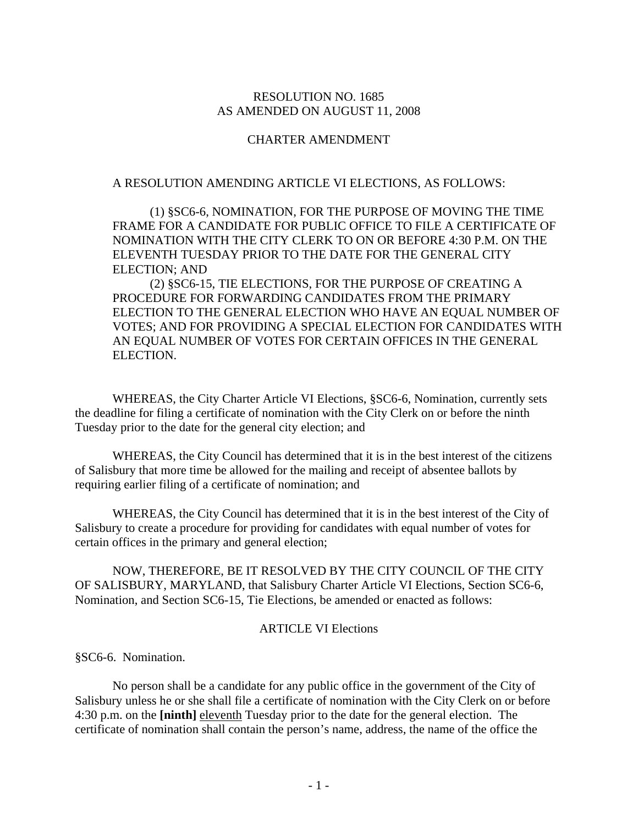## RESOLUTION NO. 1685 AS AMENDED ON AUGUST 11, 2008

## CHARTER AMENDMENT

### A RESOLUTION AMENDING ARTICLE VI ELECTIONS, AS FOLLOWS:

(1) §SC6-6, NOMINATION, FOR THE PURPOSE OF MOVING THE TIME FRAME FOR A CANDIDATE FOR PUBLIC OFFICE TO FILE A CERTIFICATE OF NOMINATION WITH THE CITY CLERK TO ON OR BEFORE 4:30 P.M. ON THE ELEVENTH TUESDAY PRIOR TO THE DATE FOR THE GENERAL CITY ELECTION; AND

(2) §SC6-15, TIE ELECTIONS, FOR THE PURPOSE OF CREATING A PROCEDURE FOR FORWARDING CANDIDATES FROM THE PRIMARY ELECTION TO THE GENERAL ELECTION WHO HAVE AN EQUAL NUMBER OF VOTES; AND FOR PROVIDING A SPECIAL ELECTION FOR CANDIDATES WITH AN EQUAL NUMBER OF VOTES FOR CERTAIN OFFICES IN THE GENERAL ELECTION.

WHEREAS, the City Charter Article VI Elections, §SC6-6, Nomination, currently sets the deadline for filing a certificate of nomination with the City Clerk on or before the ninth Tuesday prior to the date for the general city election; and

WHEREAS, the City Council has determined that it is in the best interest of the citizens of Salisbury that more time be allowed for the mailing and receipt of absentee ballots by requiring earlier filing of a certificate of nomination; and

WHEREAS, the City Council has determined that it is in the best interest of the City of Salisbury to create a procedure for providing for candidates with equal number of votes for certain offices in the primary and general election;

NOW, THEREFORE, BE IT RESOLVED BY THE CITY COUNCIL OF THE CITY OF SALISBURY, MARYLAND, that Salisbury Charter Article VI Elections, Section SC6-6, Nomination, and Section SC6-15, Tie Elections, be amended or enacted as follows:

#### ARTICLE VI Elections

§SC6-6. Nomination.

 No person shall be a candidate for any public office in the government of the City of Salisbury unless he or she shall file a certificate of nomination with the City Clerk on or before 4:30 p.m. on the **[ninth]** eleventh Tuesday prior to the date for the general election. The certificate of nomination shall contain the person's name, address, the name of the office the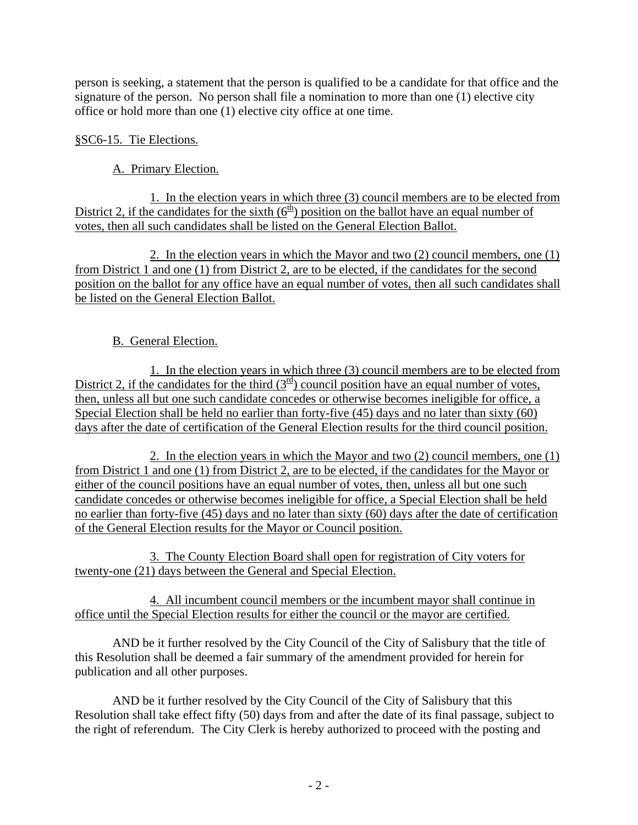person is seeking, a statement that the person is qualified to be a candidate for that office and the signature of the person. No person shall file a nomination to more than one (1) elective city office or hold more than one (1) elective city office at one time.

## §SC6-15. Tie Elections.

# A. Primary Election.

 1. In the election years in which three (3) council members are to be elected from District 2, if the candidates for the sixth  $(6<sup>th</sup>)$  position on the ballot have an equal number of votes, then all such candidates shall be listed on the General Election Ballot.

 2. In the election years in which the Mayor and two (2) council members, one (1) from District 1 and one (1) from District 2, are to be elected, if the candidates for the second position on the ballot for any office have an equal number of votes, then all such candidates shall be listed on the General Election Ballot.

# B. General Election.

 1. In the election years in which three (3) council members are to be elected from District 2, if the candidates for the third  $(3<sup>rd</sup>)$  council position have an equal number of votes, then, unless all but one such candidate concedes or otherwise becomes ineligible for office, a Special Election shall be held no earlier than forty-five (45) days and no later than sixty (60) days after the date of certification of the General Election results for the third council position.

 2. In the election years in which the Mayor and two (2) council members, one (1) from District 1 and one (1) from District 2, are to be elected, if the candidates for the Mayor or either of the council positions have an equal number of votes, then, unless all but one such candidate concedes or otherwise becomes ineligible for office, a Special Election shall be held no earlier than forty-five (45) days and no later than sixty (60) days after the date of certification of the General Election results for the Mayor or Council position.

 3. The County Election Board shall open for registration of City voters for twenty-one (21) days between the General and Special Election.

 4. All incumbent council members or the incumbent mayor shall continue in office until the Special Election results for either the council or the mayor are certified.

 AND be it further resolved by the City Council of the City of Salisbury that the title of this Resolution shall be deemed a fair summary of the amendment provided for herein for publication and all other purposes.

 AND be it further resolved by the City Council of the City of Salisbury that this Resolution shall take effect fifty (50) days from and after the date of its final passage, subject to the right of referendum. The City Clerk is hereby authorized to proceed with the posting and